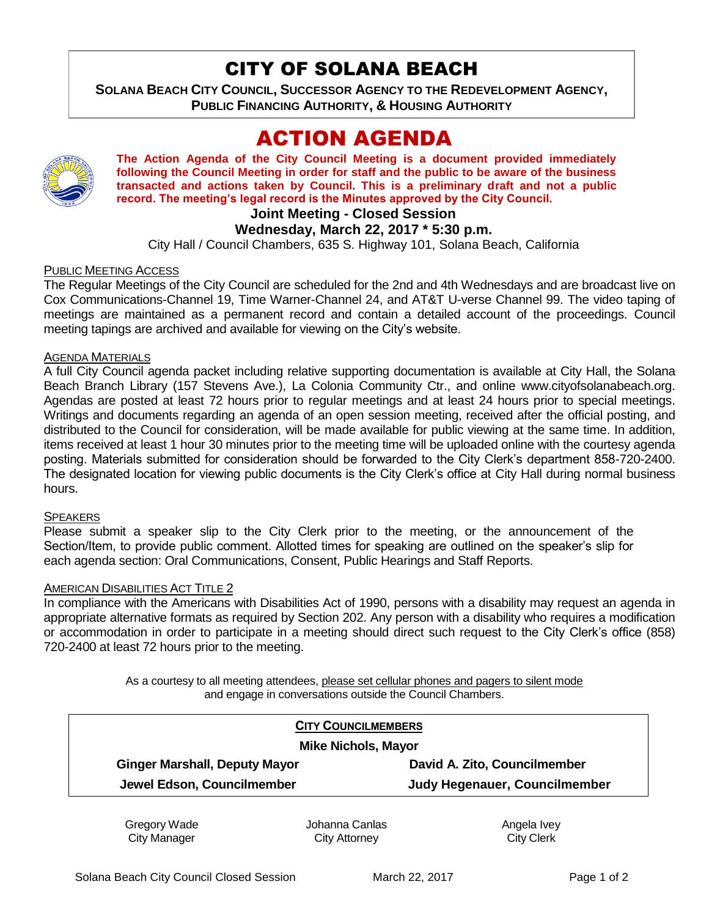# CITY OF SOLANA BEACH

**SOLANA BEACH CITY COUNCIL, SUCCESSOR AGENCY TO THE REDEVELOPMENT AGENCY, PUBLIC FINANCING AUTHORITY, & HOUSING AUTHORITY** 

# ACTION AGENDA



**The Action Agenda of the City Council Meeting is a document provided immediately following the Council Meeting in order for staff and the public to be aware of the business transacted and actions taken by Council. This is a preliminary draft and not a public record. The meeting's legal record is the Minutes approved by the City Council.**

## **Joint Meeting - Closed Session**

## **Wednesday, March 22, 2017 \* 5:30 p.m.**

City Hall / Council Chambers, 635 S. Highway 101, Solana Beach, California

## PUBLIC MEETING ACCESS

The Regular Meetings of the City Council are scheduled for the 2nd and 4th Wednesdays and are broadcast live on Cox Communications-Channel 19, Time Warner-Channel 24, and AT&T U-verse Channel 99. The video taping of meetings are maintained as a permanent record and contain a detailed account of the proceedings. Council meeting tapings are archived and available for viewing on the City's website.

### AGENDA MATERIALS

A full City Council agenda packet including relative supporting documentation is available at City Hall, the Solana Beach Branch Library (157 Stevens Ave.), La Colonia Community Ctr., and online www.cityofsolanabeach.org. Agendas are posted at least 72 hours prior to regular meetings and at least 24 hours prior to special meetings. Writings and documents regarding an agenda of an open session meeting, received after the official posting, and distributed to the Council for consideration, will be made available for public viewing at the same time. In addition, items received at least 1 hour 30 minutes prior to the meeting time will be uploaded online with the courtesy agenda posting. Materials submitted for consideration should be forwarded to the City Clerk's department 858-720-2400. The designated location for viewing public documents is the City Clerk's office at City Hall during normal business hours.

### **SPEAKERS**

Please submit a speaker slip to the City Clerk prior to the meeting, or the announcement of the Section/Item, to provide public comment. Allotted times for speaking are outlined on the speaker's slip for each agenda section: Oral Communications, Consent, Public Hearings and Staff Reports.

### AMERICAN DISABILITIES ACT TITLE 2

In compliance with the Americans with Disabilities Act of 1990, persons with a disability may request an agenda in appropriate alternative formats as required by Section 202. Any person with a disability who requires a modification or accommodation in order to participate in a meeting should direct such request to the City Clerk's office (858) 720-2400 at least 72 hours prior to the meeting.

> As a courtesy to all meeting attendees, please set cellular phones and pagers to silent mode and engage in conversations outside the Council Chambers.

|                                      | <b>CITY COUNCILMEMBERS</b>    |
|--------------------------------------|-------------------------------|
| <b>Mike Nichols, Mayor</b>           |                               |
| <b>Ginger Marshall, Deputy Mayor</b> | David A. Zito, Councilmember  |
| Jewel Edson, Councilmember           | Judy Hegenauer, Councilmember |

Gregory Wade City Manager

Johanna Canlas City Attorney

Angela Ivey City Clerk